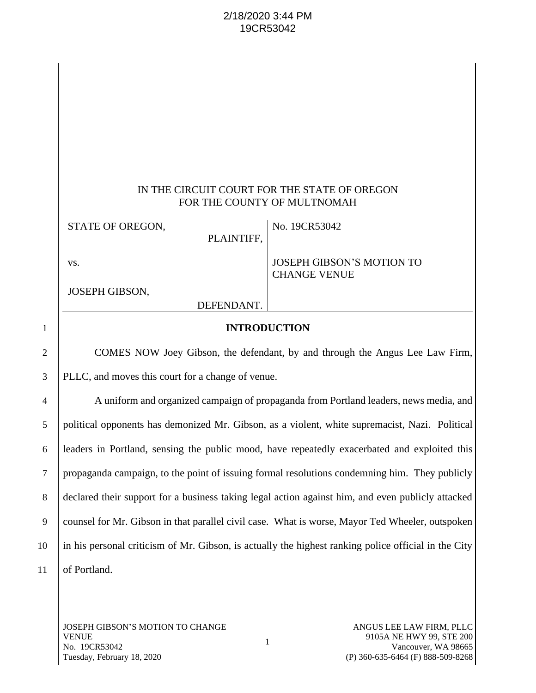# 2/18/2020 3:44 PM 19CR53042

|   | IN THE CIRCUIT COURT FOR THE STATE OF OREGON<br>FOR THE COUNTY OF MULTNOMAH |                                                         |  |  |
|---|-----------------------------------------------------------------------------|---------------------------------------------------------|--|--|
|   | STATE OF OREGON,<br>PLAINTIFF,                                              | No. 19CR53042                                           |  |  |
|   | VS.                                                                         | <b>JOSEPH GIBSON'S MOTION TO</b><br><b>CHANGE VENUE</b> |  |  |
|   | JOSEPH GIBSON,                                                              |                                                         |  |  |
|   | DEFENDANT.                                                                  |                                                         |  |  |
| 1 | <b>INTRODUCTION</b>                                                         |                                                         |  |  |

2 COMES NOW Joey Gibson, the defendant, by and through the Angus Lee Law Firm, 3 PLLC, and moves this court for a change of venue.

 A uniform and organized campaign of propaganda from Portland leaders, news media, and political opponents has demonized Mr. Gibson, as a violent, white supremacist, Nazi. Political leaders in Portland, sensing the public mood, have repeatedly exacerbated and exploited this propaganda campaign, to the point of issuing formal resolutions condemning him. They publicly declared their support for a business taking legal action against him, and even publicly attacked 9 counsel for Mr. Gibson in that parallel civil case. What is worse, Mayor Ted Wheeler, outspoken in his personal criticism of Mr. Gibson, is actually the highest ranking police official in the City 11 | of Portland.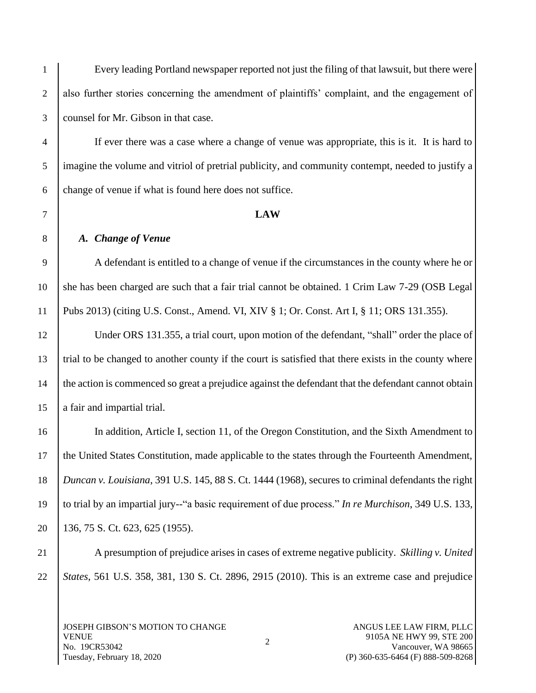Every leading Portland newspaper reported not just the filing of that lawsuit, but there were 2 also further stories concerning the amendment of plaintiffs' complaint, and the engagement of counsel for Mr. Gibson in that case.

 If ever there was a case where a change of venue was appropriate, this is it. It is hard to imagine the volume and vitriol of pretrial publicity, and community contempt, needed to justify a  $6 \mid$  change of venue if what is found here does not suffice.

### **LAW**

#### *A. Change of Venue*

 A defendant is entitled to a change of venue if the circumstances in the county where he or she has been charged are such that a fair trial cannot be obtained. 1 Crim Law 7-29 (OSB Legal Pubs 2013) (citing U.S. Const., Amend. VI, XIV § 1; Or. Const. Art I, § 11; ORS 131.355).

 Under ORS 131.355, a trial court, upon motion of the defendant, "shall" order the place of trial to be changed to another county if the court is satisfied that there exists in the county where the action is commenced so great a prejudice against the defendant that the defendant cannot obtain 15 a fair and impartial trial.

 In addition, Article I, section 11, of the Oregon Constitution, and the Sixth Amendment to the United States Constitution, made applicable to the states through the Fourteenth Amendment, *Duncan v. Louisiana*, 391 U.S. 145, 88 S. Ct. 1444 (1968), secures to criminal defendants the right to trial by an impartial jury--"a basic requirement of due process." *In re Murchison*, 349 U.S. 133, 136, 75 S. Ct. 623, 625 (1955).

 A presumption of prejudice arises in cases of extreme negative publicity. *Skilling v. United States*, 561 U.S. 358, 381, 130 S. Ct. 2896, 2915 (2010). This is an extreme case and prejudice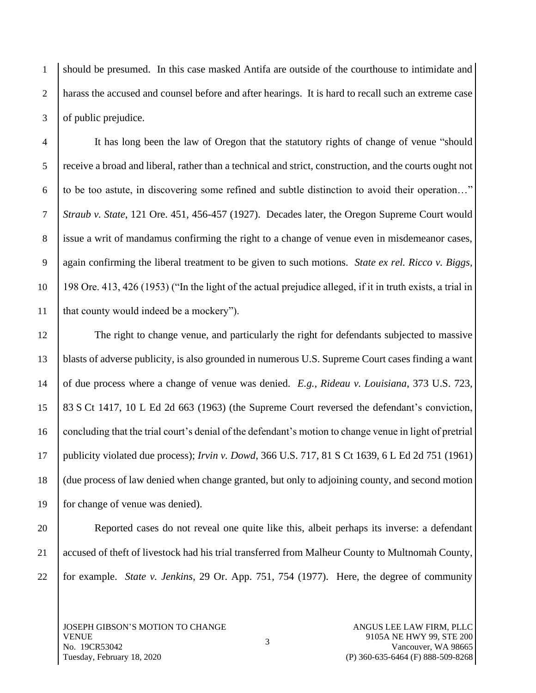should be presumed. In this case masked Antifa are outside of the courthouse to intimidate and harass the accused and counsel before and after hearings. It is hard to recall such an extreme case 3 of public prejudice.

 It has long been the law of Oregon that the statutory rights of change of venue "should receive a broad and liberal, rather than a technical and strict, construction, and the courts ought not 6 to be too astute, in discovering some refined and subtle distinction to avoid their operation..." *Straub v. State*, 121 Ore. 451, 456-457 (1927). Decades later, the Oregon Supreme Court would issue a writ of mandamus confirming the right to a change of venue even in misdemeanor cases, again confirming the liberal treatment to be given to such motions. *State ex rel. Ricco v. Biggs*, 198 Ore. 413, 426 (1953) ("In the light of the actual prejudice alleged, if it in truth exists, a trial in 11 | that county would indeed be a mockery").

 The right to change venue, and particularly the right for defendants subjected to massive blasts of adverse publicity, is also grounded in numerous U.S. Supreme Court cases finding a want of due process where a change of venue was denied. *E.g., Rideau v. Louisiana*, 373 U.S. 723, 83 S Ct 1417, 10 L Ed 2d 663 (1963) (the Supreme Court reversed the defendant's conviction, concluding that the trial court's denial of the defendant's motion to change venue in light of pretrial publicity violated due process); *Irvin v. Dowd*, 366 U.S. 717, 81 S Ct 1639, 6 L Ed 2d 751 (1961) 18 (due process of law denied when change granted, but only to adjoining county, and second motion for change of venue was denied).

 Reported cases do not reveal one quite like this, albeit perhaps its inverse: a defendant accused of theft of livestock had his trial transferred from Malheur County to Multnomah County, for example. *State v. Jenkins*, 29 Or. App. 751, 754 (1977). Here, the degree of community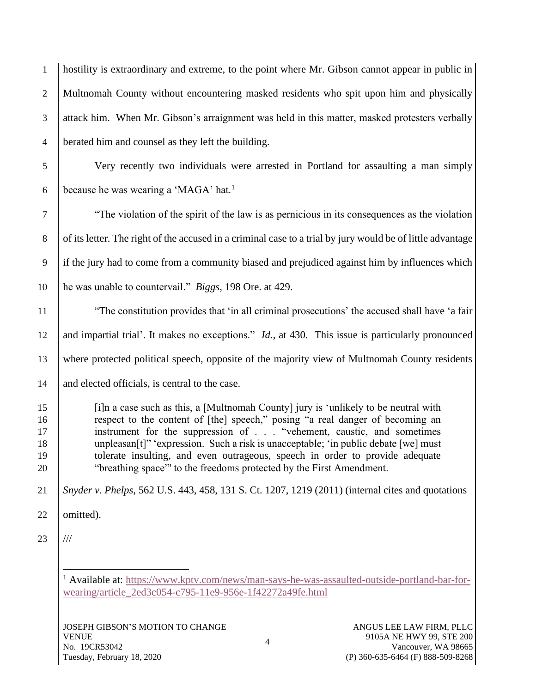| $\mathbf{1}$                     | hostility is extraordinary and extreme, to the point where Mr. Gibson cannot appear in public in                                                                                                                                                                                                                                                                                                                                                                                          |
|----------------------------------|-------------------------------------------------------------------------------------------------------------------------------------------------------------------------------------------------------------------------------------------------------------------------------------------------------------------------------------------------------------------------------------------------------------------------------------------------------------------------------------------|
| $\mathbf{2}$                     | Multnomah County without encountering masked residents who spit upon him and physically                                                                                                                                                                                                                                                                                                                                                                                                   |
| $\mathfrak{Z}$                   | attack him. When Mr. Gibson's arraignment was held in this matter, masked protesters verbally                                                                                                                                                                                                                                                                                                                                                                                             |
| $\overline{4}$                   | berated him and counsel as they left the building.                                                                                                                                                                                                                                                                                                                                                                                                                                        |
| $\mathfrak{S}$                   | Very recently two individuals were arrested in Portland for assaulting a man simply                                                                                                                                                                                                                                                                                                                                                                                                       |
| 6                                | because he was wearing a 'MAGA' hat. <sup>1</sup>                                                                                                                                                                                                                                                                                                                                                                                                                                         |
| $\overline{7}$                   | "The violation of the spirit of the law is as pernicious in its consequences as the violation                                                                                                                                                                                                                                                                                                                                                                                             |
| $\,8\,$                          | of its letter. The right of the accused in a criminal case to a trial by jury would be of little advantage                                                                                                                                                                                                                                                                                                                                                                                |
| 9                                | if the jury had to come from a community biased and prejudiced against him by influences which                                                                                                                                                                                                                                                                                                                                                                                            |
| 10                               | he was unable to countervail." Biggs, 198 Ore. at 429.                                                                                                                                                                                                                                                                                                                                                                                                                                    |
| 11                               | "The constitution provides that 'in all criminal prosecutions' the accused shall have 'a fair                                                                                                                                                                                                                                                                                                                                                                                             |
| 12                               | and impartial trial'. It makes no exceptions." <i>Id.</i> , at 430. This issue is particularly pronounced                                                                                                                                                                                                                                                                                                                                                                                 |
| 13                               | where protected political speech, opposite of the majority view of Multnomah County residents                                                                                                                                                                                                                                                                                                                                                                                             |
| 14                               | and elected officials, is central to the case.                                                                                                                                                                                                                                                                                                                                                                                                                                            |
| 15<br>16<br>17<br>18<br>19<br>20 | [i]n a case such as this, a [Multnomah County] jury is 'unlikely to be neutral with<br>respect to the content of [the] speech," posing "a real danger of becoming an<br>instrument for the suppression of "vehement, caustic, and sometimes<br>unpleasan[t]" 'expression. Such a risk is unacceptable; 'in public debate [we] must<br>tolerate insulting, and even outrageous, speech in order to provide adequate<br>"breathing space" to the freedoms protected by the First Amendment. |
| 21                               | Snyder v. Phelps, 562 U.S. 443, 458, 131 S. Ct. 1207, 1219 (2011) (internal cites and quotations                                                                                                                                                                                                                                                                                                                                                                                          |
| 22                               | omitted).                                                                                                                                                                                                                                                                                                                                                                                                                                                                                 |
| 23                               | $^{\prime\prime\prime}$                                                                                                                                                                                                                                                                                                                                                                                                                                                                   |
|                                  |                                                                                                                                                                                                                                                                                                                                                                                                                                                                                           |

 Available at: [https://www.kptv.com/news/man-says-he-was-assaulted-outside-portland-bar-for](https://www.kptv.com/news/man-says-he-was-assaulted-outside-portland-bar-for-wearing/article_2ed3c054-c795-11e9-956e-1f42272a49fe.html)[wearing/article\\_2ed3c054-c795-11e9-956e-1f42272a49fe.html](https://www.kptv.com/news/man-says-he-was-assaulted-outside-portland-bar-for-wearing/article_2ed3c054-c795-11e9-956e-1f42272a49fe.html)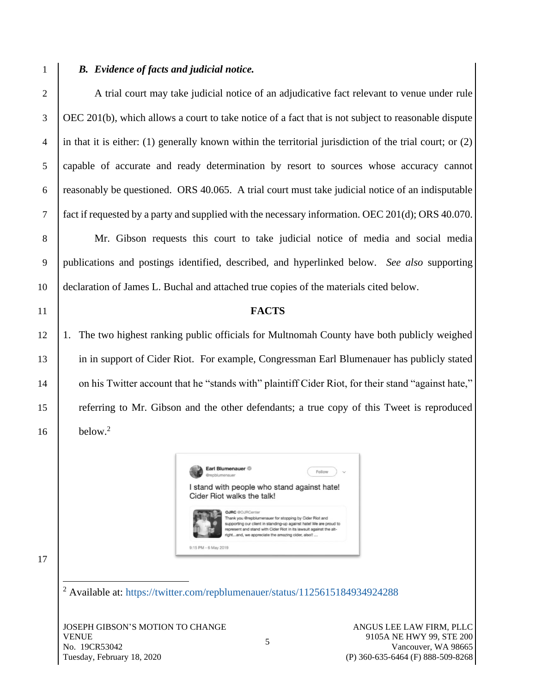# 1 *B. Evidence of facts and judicial notice.*

2 A trial court may take judicial notice of an adjudicative fact relevant to venue under rule OEC 201(b), which allows a court to take notice of a fact that is not subject to reasonable dispute in that it is either: (1) generally known within the territorial jurisdiction of the trial court; or (2) capable of accurate and ready determination by resort to sources whose accuracy cannot reasonably be questioned. ORS 40.065. A trial court must take judicial notice of an indisputable fact if requested by a party and supplied with the necessary information. OEC 201(d); ORS 40.070.

8 Mr. Gibson requests this court to take judicial notice of media and social media 9 publications and postings identified, described, and hyperlinked below. *See also* supporting 10 declaration of James L. Buchal and attached true copies of the materials cited below.

#### 11 **FACTS**

12 1. The two highest ranking public officials for Multnomah County have both publicly weighed 13 in in support of Cider Riot. For example, Congressman Earl Blumenauer has publicly stated 14 on his Twitter account that he "stands with" plaintiff Cider Riot, for their stand "against hate," 15 referring to Mr. Gibson and the other defendants; a true copy of this Tweet is reproduced  $below<sup>2</sup>$ 



17

16

<sup>2</sup> Available at:<https://twitter.com/repblumenauer/status/1125615184934924288>

9:15 PM - 6 May 2019

JOSEPH GIBSON'S MOTION TO CHANGE VENUE No. 19CR53042 Tuesday, February 18, 2020

ANGUS LEE LAW FIRM, PLLC 9105A NE HWY 99, STE 200 Vancouver, WA 98665 (P) 360-635-6464 (F) 888-509-8268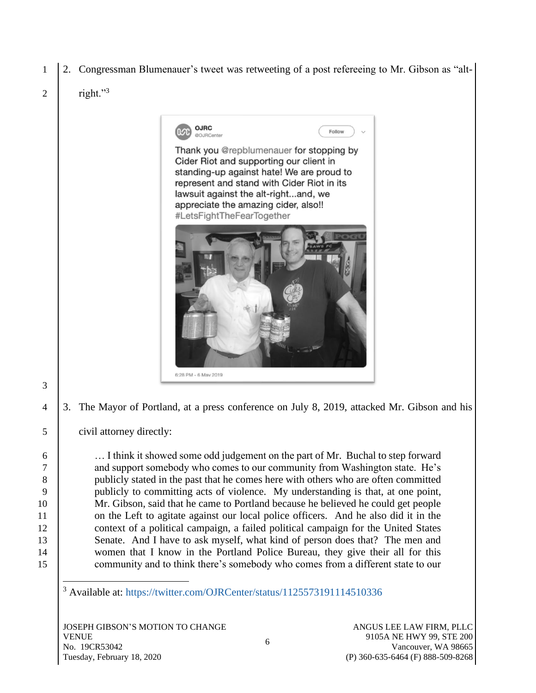- 1 2. Congressman Blumenauer's tweet was retweeting of a post refereeing to Mr. Gibson as "alt-
- right."<sup>3</sup>  $\mathcal{D}_{\mathcal{L}}$

3



4 3. The Mayor of Portland, at a press conference on July 8, 2019, attacked Mr. Gibson and his

5 civil attorney directly:

6 … I think it showed some odd judgement on the part of Mr. Buchal to step forward 7 and support somebody who comes to our community from Washington state. He's 8 publicly stated in the past that he comes here with others who are often committed 9 publicly to committing acts of violence. My understanding is that, at one point, 10 Mr. Gibson, said that he came to Portland because he believed he could get people 11 on the Left to agitate against our local police officers. And he also did it in the 12 context of a political campaign, a failed political campaign for the United States 13 Senate. And I have to ask myself, what kind of person does that? The men and 14 women that I know in the Portland Police Bureau, they give their all for this 15 community and to think there's somebody who comes from a different state to our

<sup>3</sup> Available at:<https://twitter.com/OJRCenter/status/1125573191114510336>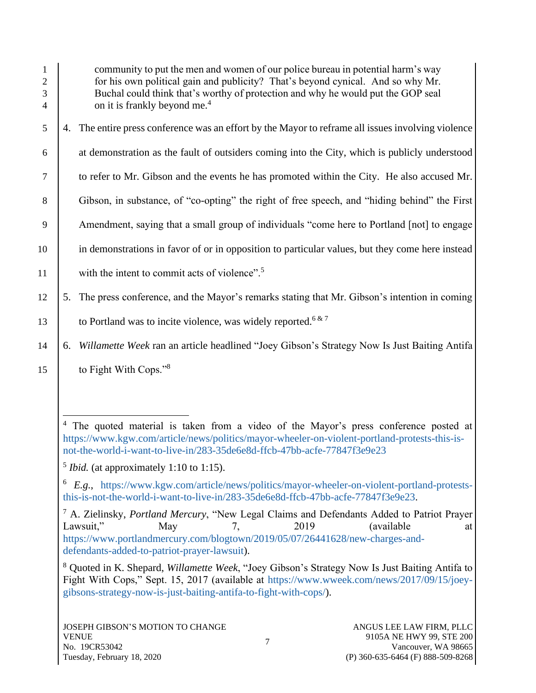| 1<br>$\overline{2}$<br>3<br>$\overline{4}$ | community to put the men and women of our police bureau in potential harm's way<br>for his own political gain and publicity? That's beyond cynical. And so why Mr.<br>Buchal could think that's worthy of protection and why he would put the GOP seal<br>on it is frankly beyond me. <sup>4</sup>                  |  |  |
|--------------------------------------------|---------------------------------------------------------------------------------------------------------------------------------------------------------------------------------------------------------------------------------------------------------------------------------------------------------------------|--|--|
| 5                                          | 4. The entire press conference was an effort by the Mayor to reframe all issues involving violence                                                                                                                                                                                                                  |  |  |
| 6                                          | at demonstration as the fault of outsiders coming into the City, which is publicly understood                                                                                                                                                                                                                       |  |  |
| 7                                          | to refer to Mr. Gibson and the events he has promoted within the City. He also accused Mr.                                                                                                                                                                                                                          |  |  |
| 8                                          | Gibson, in substance, of "co-opting" the right of free speech, and "hiding behind" the First                                                                                                                                                                                                                        |  |  |
| 9                                          | Amendment, saying that a small group of individuals "come here to Portland [not] to engage                                                                                                                                                                                                                          |  |  |
| 10                                         | in demonstrations in favor of or in opposition to particular values, but they come here instead                                                                                                                                                                                                                     |  |  |
| 11                                         | with the intent to commit acts of violence". <sup>5</sup>                                                                                                                                                                                                                                                           |  |  |
| 12                                         | 5. The press conference, and the Mayor's remarks stating that Mr. Gibson's intention in coming                                                                                                                                                                                                                      |  |  |
| 13                                         | to Portland was to incite violence, was widely reported. <sup>6 &amp; 7</sup>                                                                                                                                                                                                                                       |  |  |
| 14                                         | Willamette Week ran an article headlined "Joey Gibson's Strategy Now Is Just Baiting Antifa<br>6.                                                                                                                                                                                                                   |  |  |
| 15                                         | to Fight With Cops." <sup>8</sup>                                                                                                                                                                                                                                                                                   |  |  |
|                                            |                                                                                                                                                                                                                                                                                                                     |  |  |
|                                            | 4<br>The quoted material is taken from a video of the Mayor's press conference posted at<br>https://www.kgw.com/article/news/politics/mayor-wheeler-on-violent-portland-protests-this-is-<br>not-the-world-i-want-to-live-in/283-35de6e8d-ffcb-47bb-acfe-77847f3e9e23<br>$5 Ibid.$ (at approximately 1:10 to 1:15). |  |  |
|                                            | $\mathfrak{g}$<br>E.g., https://www.kgw.com/article/news/politics/mayor-wheeler-on-violent-portland-protests-                                                                                                                                                                                                       |  |  |
|                                            | this-is-not-the-world-i-want-to-live-in/283-35de6e8d-ffcb-47bb-acfe-77847f3e9e23.                                                                                                                                                                                                                                   |  |  |
|                                            | <sup>7</sup> A. Zielinsky, <i>Portland Mercury</i> , "New Legal Claims and Defendants Added to Patriot Prayer<br>Lawsuit,"<br>2019<br>(available)<br>May<br>7,<br>at<br>https://www.portlandmercury.com/blogtown/2019/05/07/26441628/new-charges-and-                                                               |  |  |

[defendants-added-to-patriot-prayer-lawsuit\)](https://www.portlandmercury.com/blogtown/2019/05/07/26441628/new-charges-and-defendants-added-to-patriot-prayer-lawsuit).

<sup>8</sup> Quoted in K. Shepard, *Willamette Week*, "Joey Gibson's Strategy Now Is Just Baiting Antifa to Fight With Cops," Sept. 15, 2017 (available at [https://www.wweek.com/news/2017/09/15/joey](https://www.wweek.com/news/2017/09/15/joey-gibsons-strategy-now-is-just-baiting-antifa-to-fight-with-cops/)[gibsons-strategy-now-is-just-baiting-antifa-to-fight-with-cops/\)](https://www.wweek.com/news/2017/09/15/joey-gibsons-strategy-now-is-just-baiting-antifa-to-fight-with-cops/).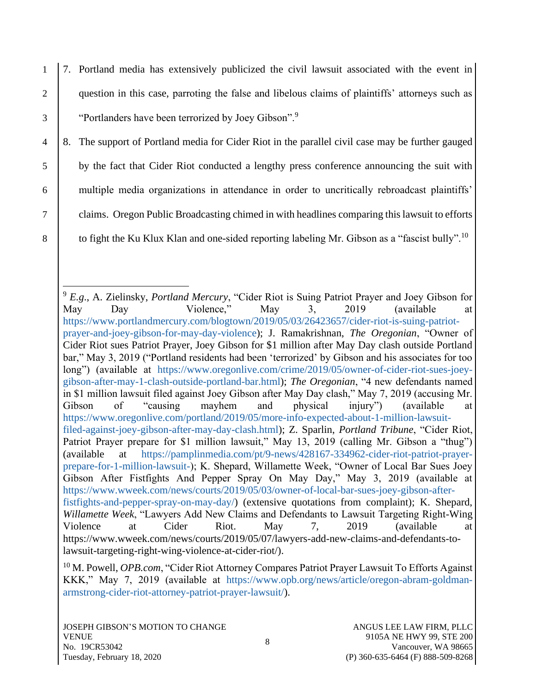1 7. Portland media has extensively publicized the civil lawsuit associated with the event in 2 question in this case, parroting the false and libelous claims of plaintiffs' attorneys such as 3 | "Portlanders have been terrorized by Joey Gibson".<sup>9</sup>

 8. The support of Portland media for Cider Riot in the parallel civil case may be further gauged by the fact that Cider Riot conducted a lengthy press conference announcing the suit with multiple media organizations in attendance in order to uncritically rebroadcast plaintiffs' claims. Oregon Public Broadcasting chimed in with headlines comparing this lawsuit to efforts 8 | to fight the Ku Klux Klan and one-sided reporting labeling Mr. Gibson as a "fascist bully".<sup>10</sup>

<sup>9</sup> *E.g*., A. Zielinsky, *Portland Mercury*, "Cider Riot is Suing Patriot Prayer and Joey Gibson for May Day Violence," May 3, 2019 (available at [https://www.portlandmercury.com/blogtown/2019/05/03/26423657/cider-riot-is-suing-patriot](https://www.portlandmercury.com/blogtown/2019/05/03/26423657/cider-riot-is-suing-patriot-prayer-and-joey-gibson-for-may-day-violence)[prayer-and-joey-gibson-for-may-day-violence\)](https://www.portlandmercury.com/blogtown/2019/05/03/26423657/cider-riot-is-suing-patriot-prayer-and-joey-gibson-for-may-day-violence); J. Ramakrishnan, *The Oregonian*, "Owner of Cider Riot sues Patriot Prayer, Joey Gibson for \$1 million after May Day clash outside Portland bar," May 3, 2019 ("Portland residents had been 'terrorized' by Gibson and his associates for too long") (available at [https://www.oregonlive.com/crime/2019/05/owner-of-cider-riot-sues-joey](https://www.oregonlive.com/crime/2019/05/owner-of-cider-riot-sues-joey-gibson-after-may-1-clash-outside-portland-bar.html)[gibson-after-may-1-clash-outside-portland-bar.html\)](https://www.oregonlive.com/crime/2019/05/owner-of-cider-riot-sues-joey-gibson-after-may-1-clash-outside-portland-bar.html); *The Oregonian*, "4 new defendants named in \$1 million lawsuit filed against Joey Gibson after May Day clash," May 7, 2019 (accusing Mr. Gibson of "causing mayhem and physical injury") (available at [https://www.oregonlive.com/portland/2019/05/more-info-expected-about-1-million-lawsuit](https://www.oregonlive.com/portland/2019/05/more-info-expected-about-1-million-lawsuit-filed-against-joey-gibson-after-may-day-clash.html)[filed-against-joey-gibson-after-may-day-clash.html\)](https://www.oregonlive.com/portland/2019/05/more-info-expected-about-1-million-lawsuit-filed-against-joey-gibson-after-may-day-clash.html); Z. Sparlin, *Portland Tribune*, "Cider Riot, Patriot Prayer prepare for \$1 million lawsuit," May 13, 2019 (calling Mr. Gibson a "thug") (available at [https://pamplinmedia.com/pt/9-news/428167-334962-cider-riot-patriot-prayer](https://pamplinmedia.com/pt/9-news/428167-334962-cider-riot-patriot-prayer-prepare-for-1-million-lawsuit-)[prepare-for-1-million-lawsuit-\)](https://pamplinmedia.com/pt/9-news/428167-334962-cider-riot-patriot-prayer-prepare-for-1-million-lawsuit-); K. Shepard, Willamette Week, "Owner of Local Bar Sues Joey Gibson After Fistfights And Pepper Spray On May Day," May 3, 2019 (available at [https://www.wweek.com/news/courts/2019/05/03/owner-of-local-bar-sues-joey-gibson-after](https://www.wweek.com/news/courts/2019/05/03/owner-of-local-bar-sues-joey-gibson-after-fistfights-and-pepper-spray-on-may-day/)[fistfights-and-pepper-spray-on-may-day/\)](https://www.wweek.com/news/courts/2019/05/03/owner-of-local-bar-sues-joey-gibson-after-fistfights-and-pepper-spray-on-may-day/) (extensive quotations from complaint); K. Shepard, *Willamette Week*, "Lawyers Add New Claims and Defendants to Lawsuit Targeting Right-Wing Violence at Cider Riot. May 7, 2019 (available at https://www.wweek.com/news/courts/2019/05/07/lawyers-add-new-claims-and-defendants-tolawsuit-targeting-right-wing-violence-at-cider-riot/).

<sup>10</sup> M. Powell, *OPB.com*, "Cider Riot Attorney Compares Patriot Prayer Lawsuit To Efforts Against KKK," May 7, 2019 (available at [https://www.opb.org/news/article/oregon-abram-goldman](https://www.opb.org/news/article/oregon-abram-goldman-armstrong-cider-riot-attorney-patriot-prayer-lawsuit/)[armstrong-cider-riot-attorney-patriot-prayer-lawsuit/\)](https://www.opb.org/news/article/oregon-abram-goldman-armstrong-cider-riot-attorney-patriot-prayer-lawsuit/).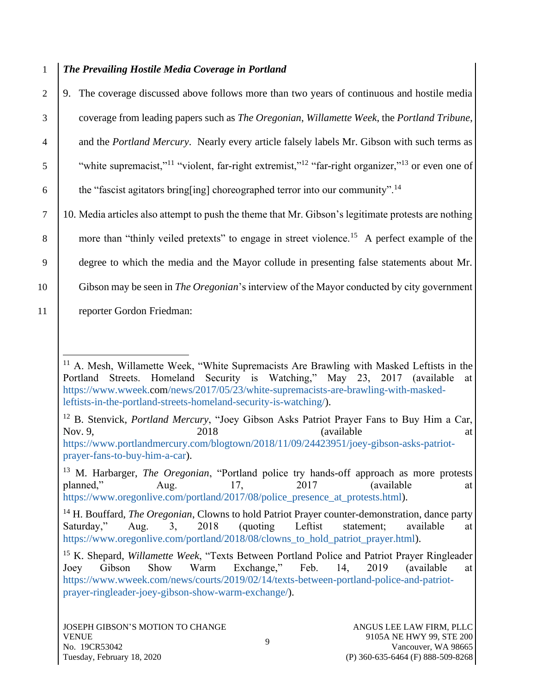## 1 *The Prevailing Hostile Media Coverage in Portland*

2 9. The coverage discussed above follows more than two years of continuous and hostile media 3 coverage from leading papers such as *The Oregonian*, *Willamette Week*, the *Portland Tribune*, <sup>4</sup> and the *Portland Mercury*. Nearly every article falsely labels Mr. Gibson with such terms as  $\mathfrak{g}$  "white supremacist,"<sup>11</sup> "violent, far-right extremist,"<sup>12</sup> "far-right organizer,"<sup>13</sup> or even one of 6 the "fascist agitators bring [ing] choreographed terror into our community".<sup>14</sup> 7 10. Media articles also attempt to push the theme that Mr. Gibson's legitimate protests are nothing 8 more than "thinly veiled pretexts" to engage in street violence.<sup>15</sup> A perfect example of the

9 degree to which the media and the Mayor collude in presenting false statements about Mr.

10 Gibson may be seen in *The Oregonian*'s interview of the Mayor conducted by city government

11 reporter Gordon Friedman:

<sup>12</sup> B. Stenvick, *Portland Mercury*, "Joey Gibson Asks Patriot Prayer Fans to Buy Him a Car, Nov. 9, 2018 2018 (available at [https://www.portlandmercury.com/blogtown/2018/11/09/24423951/joey-gibson-asks-patriot](https://www.portlandmercury.com/blogtown/2018/11/09/24423951/joey-gibson-asks-patriot-prayer-fans-to-buy-him-a-car)[prayer-fans-to-buy-him-a-car\)](https://www.portlandmercury.com/blogtown/2018/11/09/24423951/joey-gibson-asks-patriot-prayer-fans-to-buy-him-a-car).

<sup>13</sup> M. Harbarger, *The Oregonian*, "Portland police try hands-off approach as more protests planned," Aug. 17, 2017 (available at [https://www.oregonlive.com/portland/2017/08/police\\_presence\\_at\\_protests.html\)](https://www.oregonlive.com/portland/2017/08/police_presence_at_protests.html).

<sup>14</sup> H. Bouffard, *The Oregonian*, Clowns to hold Patriot Prayer counter-demonstration, dance party Saturday," Aug. 3, 2018 (quoting Leftist statement; available at [https://www.oregonlive.com/portland/2018/08/clowns\\_to\\_hold\\_patriot\\_prayer.html\)](https://www.oregonlive.com/portland/2018/08/clowns_to_hold_patriot_prayer.html).

<sup>&</sup>lt;sup>11</sup> A. Mesh, Willamette Week, "White Supremacists Are Brawling with Masked Leftists in the Portland Streets. Homeland Security is Watching," May 23, 2017 (available at [https://www.wweek.com/news/2017/05/23/white-supremacists-are-brawling-with-masked](https://www.wweek.com/news/2017/05/23/white-supremacists-are-brawling-with-masked-leftists-in-the-portland-streets-homeland-security-is-watching/)[leftists-in-the-portland-streets-homeland-security-is-watching/\)](https://www.wweek.com/news/2017/05/23/white-supremacists-are-brawling-with-masked-leftists-in-the-portland-streets-homeland-security-is-watching/).

<sup>15</sup> K. Shepard, *Willamette Week*, "Texts Between Portland Police and Patriot Prayer Ringleader Joey Gibson Show Warm Exchange," Feb. 14, 2019 (available at [https://www.wweek.com/news/courts/2019/02/14/texts-between-portland-police-and-patriot](https://www.wweek.com/news/courts/2019/02/14/texts-between-portland-police-and-patriot-prayer-ringleader-joey-gibson-show-warm-exchange/)[prayer-ringleader-joey-gibson-show-warm-exchange/\)](https://www.wweek.com/news/courts/2019/02/14/texts-between-portland-police-and-patriot-prayer-ringleader-joey-gibson-show-warm-exchange/).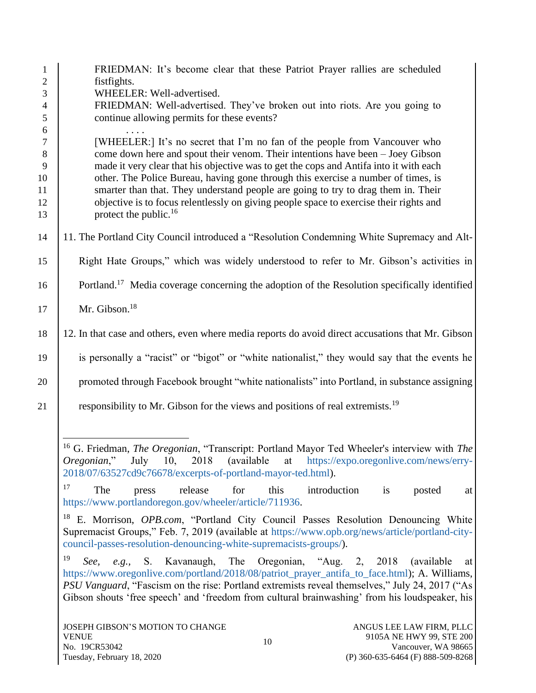| $\mathbf{1}$   | FRIEDMAN: It's become clear that these Patriot Prayer rallies are scheduled                                                                                                                                                                                                                                                                                                                       |  |  |
|----------------|---------------------------------------------------------------------------------------------------------------------------------------------------------------------------------------------------------------------------------------------------------------------------------------------------------------------------------------------------------------------------------------------------|--|--|
| $\overline{2}$ | fistfights.                                                                                                                                                                                                                                                                                                                                                                                       |  |  |
| 3              | WHEELER: Well-advertised.                                                                                                                                                                                                                                                                                                                                                                         |  |  |
| $\overline{4}$ | FRIEDMAN: Well-advertised. They've broken out into riots. Are you going to                                                                                                                                                                                                                                                                                                                        |  |  |
| 5              | continue allowing permits for these events?                                                                                                                                                                                                                                                                                                                                                       |  |  |
| 6              |                                                                                                                                                                                                                                                                                                                                                                                                   |  |  |
| $\tau$         | [WHEELER:] It's no secret that I'm no fan of the people from Vancouver who                                                                                                                                                                                                                                                                                                                        |  |  |
| $8\,$          | come down here and spout their venom. Their intentions have been - Joey Gibson                                                                                                                                                                                                                                                                                                                    |  |  |
| 9              | made it very clear that his objective was to get the cops and Antifa into it with each                                                                                                                                                                                                                                                                                                            |  |  |
| 10             | other. The Police Bureau, having gone through this exercise a number of times, is                                                                                                                                                                                                                                                                                                                 |  |  |
| 11             | smarter than that. They understand people are going to try to drag them in. Their                                                                                                                                                                                                                                                                                                                 |  |  |
| 12             | objective is to focus relentlessly on giving people space to exercise their rights and                                                                                                                                                                                                                                                                                                            |  |  |
| 13             | protect the public. <sup>16</sup>                                                                                                                                                                                                                                                                                                                                                                 |  |  |
|                |                                                                                                                                                                                                                                                                                                                                                                                                   |  |  |
| 14             | 11. The Portland City Council introduced a "Resolution Condemning White Supremacy and Alt-                                                                                                                                                                                                                                                                                                        |  |  |
| 15             | Right Hate Groups," which was widely understood to refer to Mr. Gibson's activities in                                                                                                                                                                                                                                                                                                            |  |  |
| 16             | Portland. <sup>17</sup> Media coverage concerning the adoption of the Resolution specifically identified                                                                                                                                                                                                                                                                                          |  |  |
| 17             | Mr. Gibson. <sup>18</sup>                                                                                                                                                                                                                                                                                                                                                                         |  |  |
| 18             | 12. In that case and others, even where media reports do avoid direct accusations that Mr. Gibson                                                                                                                                                                                                                                                                                                 |  |  |
| 19             | is personally a "racist" or "bigot" or "white nationalist," they would say that the events he                                                                                                                                                                                                                                                                                                     |  |  |
| 20             | promoted through Facebook brought "white nationalists" into Portland, in substance assigning                                                                                                                                                                                                                                                                                                      |  |  |
| 21             | responsibility to Mr. Gibson for the views and positions of real extremists. <sup>19</sup>                                                                                                                                                                                                                                                                                                        |  |  |
|                | <sup>16</sup> G. Friedman, <i>The Oregonian</i> , "Transcript: Portland Mayor Ted Wheeler's interview with <i>The</i><br><i>Oregonian</i> ," July 10,<br>2018<br>(available)<br>at https://expo.oregonlive.com/news/erry-<br>2018/07/63527cd9c76678/excerpts-of-portland-mayor-ted.html).                                                                                                         |  |  |
|                | 17<br>for<br>The<br>release<br>this<br>introduction<br>posted<br>is<br>press<br>at<br>https://www.portlandoregon.gov/wheeler/article/711936.                                                                                                                                                                                                                                                      |  |  |
|                | 18<br>E. Morrison, OPB.com, "Portland City Council Passes Resolution Denouncing White<br>Supremacist Groups," Feb. 7, 2019 (available at https://www.opb.org/news/article/portland-city-                                                                                                                                                                                                          |  |  |
|                | council-passes-resolution-denouncing-white-supremacists-groups/).                                                                                                                                                                                                                                                                                                                                 |  |  |
|                | 19<br>Kavanaugh, The<br>Oregonian, "Aug. 2, 2018<br>S.<br>(available)<br>See,<br>e.g.,<br>at<br>https://www.oregonlive.com/portland/2018/08/patriot_prayer_antifa_to_face.html); A. Williams,<br>PSU Vanguard, "Fascism on the rise: Portland extremists reveal themselves," July 24, 2017 ("As<br>Gibson shouts 'free speech' and 'freedom from cultural brainwashing' from his loudspeaker, his |  |  |
|                | ANGUS LEE LAW FIRM, PLLC<br>JOSEPH GIBSON'S MOTION TO CHANGE<br><b>VENUE</b><br>9105A NE HWY 99, STE 200                                                                                                                                                                                                                                                                                          |  |  |
|                | 10                                                                                                                                                                                                                                                                                                                                                                                                |  |  |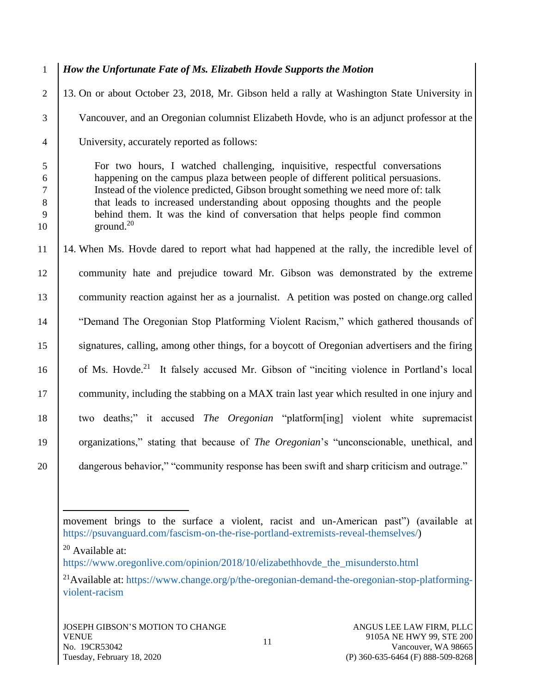- 1 *How the Unfortunate Fate of Ms. Elizabeth Hovde Supports the Motion* 2 13. On or about October 23, 2018, Mr. Gibson held a rally at Washington State University in 3 Vancouver, and an Oregonian columnist Elizabeth Hovde, who is an adjunct professor at the 4 University, accurately reported as follows: 5 For two hours, I watched challenging, inquisitive, respectful conversations 6 happening on the campus plaza between people of different political persuasions. 7 Instead of the violence predicted, Gibson brought something we need more of: talk 8 that leads to increased understanding about opposing thoughts and the people 9 behind them. It was the kind of conversation that helps people find common  $10 \quad$  ground.<sup>20</sup> 11 14. When Ms. Hovde dared to report what had happened at the rally, the incredible level of 12 community hate and prejudice toward Mr. Gibson was demonstrated by the extreme 13 community reaction against her as a journalist. A petition was posted on change.org called 14 | "Demand The Oregonian Stop Platforming Violent Racism," which gathered thousands of 15 signatures, calling, among other things, for a boycott of Oregonian advertisers and the firing 16 of Ms. Hovde.<sup>21</sup> It falsely accused Mr. Gibson of "inciting violence in Portland's local 17 community, including the stabbing on a MAX train last year which resulted in one injury and
- 18 two deaths;" it accused *The Oregonian* "platform[ing] violent white supremacist

19 organizations," stating that because of *The Oregonian*'s "unconscionable, unethical, and

20 **dangerous behavior," "community response has been swift and sharp criticism and outrage."** 

 $20$  Available at:

movement brings to the surface a violent, racist and un-American past") (available at

[https://psuvanguard.com/fascism-on-the-rise-portland-extremists-reveal-themselves/\)](https://psuvanguard.com/fascism-on-the-rise-portland-extremists-reveal-themselves/)

[https://www.oregonlive.com/opinion/2018/10/elizabethhovde\\_the\\_misundersto.html](https://www.oregonlive.com/opinion/2018/10/elizabethhovde_the_misundersto.html)

<sup>&</sup>lt;sup>21</sup>Available at: [https://www.change.org/p/the-oregonian-demand-the-oregonian-stop-platforming](https://www.change.org/p/the-oregonian-demand-the-oregonian-stop-platforming-violent-racism)[violent-racism](https://www.change.org/p/the-oregonian-demand-the-oregonian-stop-platforming-violent-racism)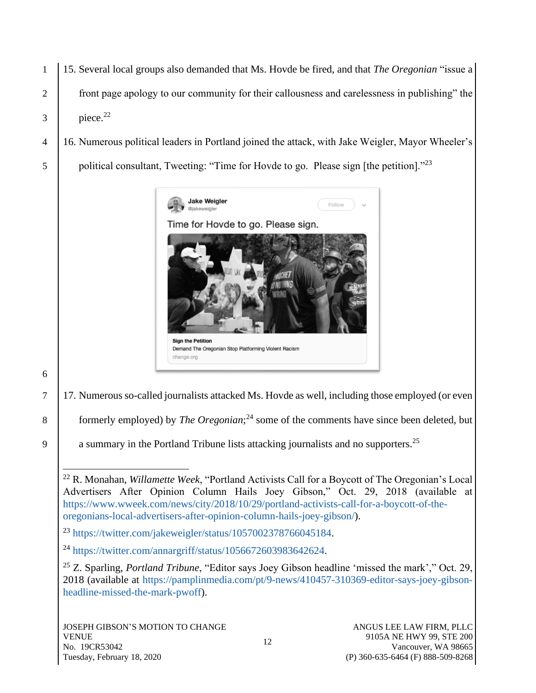- 1 15. Several local groups also demanded that Ms. Hovde be fired, and that *The Oregonian* "issue a 2 front page apology to our community for their callousness and carelessness in publishing" the  $3 \text{ piece.}^{22}$
- 4 16. Numerous political leaders in Portland joined the attack, with Jake Weigler, Mayor Wheeler's
- 5 | political consultant, Tweeting: "Time for Hovde to go. Please sign [the petition]."<sup>23</sup>



6

- 7 17. Numerous so-called journalists attacked Ms. Hovde as well, including those employed (or even
- 8 | formerly employed) by *The Oregonian*;<sup>24</sup> some of the comments have since been deleted, but
- 9  $\parallel$  a summary in the Portland Tribune lists attacking journalists and no supporters.<sup>25</sup>

<sup>22</sup> R. Monahan, *Willamette Week*, "Portland Activists Call for a Boycott of The Oregonian's Local Advertisers After Opinion Column Hails Joey Gibson," Oct. 29, 2018 (available at [https://www.wweek.com/news/city/2018/10/29/portland-activists-call-for-a-boycott-of-the](https://www.wweek.com/news/city/2018/10/29/portland-activists-call-for-a-boycott-of-the-oregonians-local-advertisers-after-opinion-column-hails-joey-gibson/)[oregonians-local-advertisers-after-opinion-column-hails-joey-gibson/\)](https://www.wweek.com/news/city/2018/10/29/portland-activists-call-for-a-boycott-of-the-oregonians-local-advertisers-after-opinion-column-hails-joey-gibson/).

<sup>23</sup> [https://twitter.com/jakeweigler/status/1057002378766045184.](https://twitter.com/jakeweigler/status/1057002378766045184)

<sup>24</sup> [https://twitter.com/annargriff/status/1056672603983642624.](https://twitter.com/annargriff/status/1056672603983642624)

<sup>25</sup> Z. Sparling, *Portland Tribune*, "Editor says Joey Gibson headline 'missed the mark'," Oct. 29, 2018 (available at [https://pamplinmedia.com/pt/9-news/410457-310369-editor-says-joey-gibson](https://pamplinmedia.com/pt/9-news/410457-310369-editor-says-joey-gibson-headline-missed-the-mark-pwoff)[headline-missed-the-mark-pwoff\)](https://pamplinmedia.com/pt/9-news/410457-310369-editor-says-joey-gibson-headline-missed-the-mark-pwoff).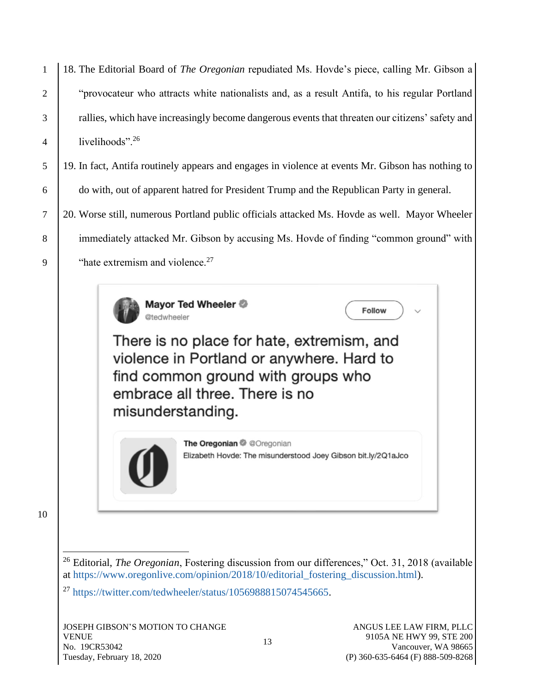18. The Editorial Board of *The Oregonian* repudiated Ms. Hovde's piece, calling Mr. Gibson a 2 The "provocateur who attracts white nationalists and, as a result Antifa, to his regular Portland rallies, which have increasingly become dangerous events that threaten our citizens' safety and  $\vert$  livelihoods". 26

5 19. In fact, Antifa routinely appears and engages in violence at events Mr. Gibson has nothing to 6 do with, out of apparent hatred for President Trump and the Republican Party in general.

7 20. Worse still, numerous Portland public officials attacked Ms. Hovde as well. Mayor Wheeler 8 immediately attacked Mr. Gibson by accusing Ms. Hovde of finding "common ground" with 9  $\blacksquare$  "hate extremism and violence.<sup>27</sup>



There is no place for hate, extremism, and violence in Portland or anywhere. Hard to find common ground with groups who embrace all three. There is no misunderstanding.



The Oregonian @ @Oregonian Elizabeth Hovde: The misunderstood Joey Gibson bit.ly/2Q1aJco

**Follow** 

10

<sup>26</sup> Editorial, *The Oregonian*, Fostering discussion from our differences," Oct. 31, 2018 (available at [https://www.oregonlive.com/opinion/2018/10/editorial\\_fostering\\_discussion.html\)](https://www.oregonlive.com/opinion/2018/10/editorial_fostering_discussion.html).

<sup>27</sup> [https://twitter.com/tedwheeler/status/1056988815074545665.](https://twitter.com/tedwheeler/status/1056988815074545665)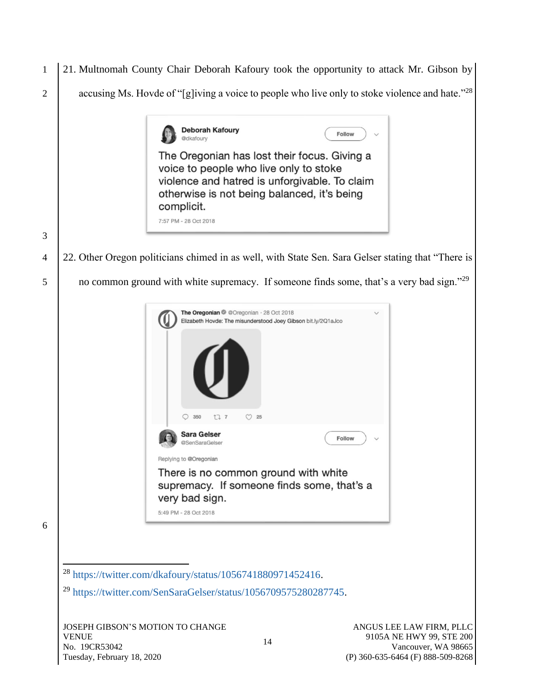1 21. Multnomah County Chair Deborah Kafoury took the opportunity to attack Mr. Gibson by 2 | accusing Ms. Hovde of "[g]iving a voice to people who live only to stoke violence and hate."<sup>28</sup> **Deborah Kafoury** Follow @dkafoury The Oregonian has lost their focus. Giving a voice to people who live only to stoke violence and hatred is unforgivable. To claim otherwise is not being balanced, it's being complicit. 7:57 PM - 28 Oct 2018 3 4 22. Other Oregon politicians chimed in as well, with State Sen. Sara Gelser stating that "There is 5 | no common ground with white supremacy. If someone finds some, that's a very bad sign."<sup>29</sup>



6

<sup>28</sup> [https://twitter.com/dkafoury/status/1056741880971452416.](https://twitter.com/dkafoury/status/1056741880971452416)

<sup>29</sup> [https://twitter.com/SenSaraGelser/status/1056709575280287745.](https://twitter.com/SenSaraGelser/status/1056709575280287745)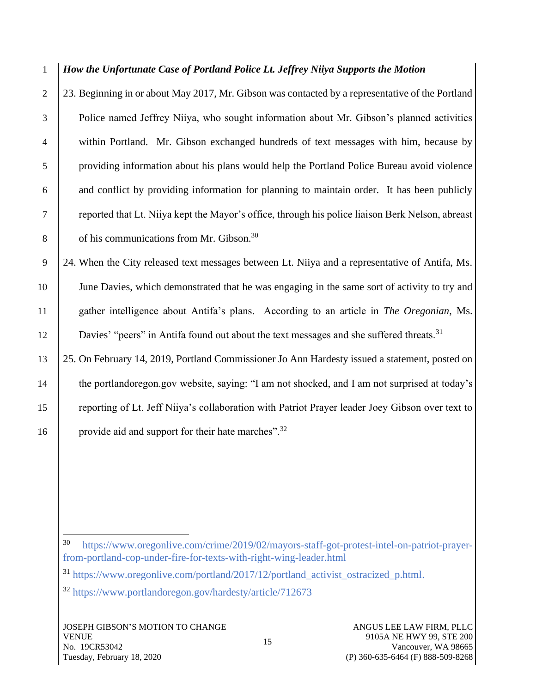1 *How the Unfortunate Case of Portland Police Lt. Jeffrey Niiya Supports the Motion*

2 23. Beginning in or about May 2017, Mr. Gibson was contacted by a representative of the Portland Police named Jeffrey Niiya, who sought information about Mr. Gibson's planned activities within Portland. Mr. Gibson exchanged hundreds of text messages with him, because by providing information about his plans would help the Portland Police Bureau avoid violence and conflict by providing information for planning to maintain order. It has been publicly reported that Lt. Niiya kept the Mayor's office, through his police liaison Berk Nelson, abreast  $\overline{8}$  | of his communications from Mr. Gibson.<sup>30</sup>

 24. When the City released text messages between Lt. Niiya and a representative of Antifa, Ms. June Davies, which demonstrated that he was engaging in the same sort of activity to try and gather intelligence about Antifa's plans. According to an article in *The Oregonian*, Ms. 12 Davies' "peers" in Antifa found out about the text messages and she suffered threats.<sup>31</sup>

13 25. On February 14, 2019, Portland Commissioner Jo Ann Hardesty issued a statement, posted on 14 the portlandoregon.gov website, saying: "I am not shocked, and I am not surprised at today's 15 reporting of Lt. Jeff Niiya's collaboration with Patriot Prayer leader Joey Gibson over text to 16 provide aid and support for their hate marches".<sup>32</sup>

<sup>30</sup> [https://www.oregonlive.com/crime/2019/02/mayors-staff-got-protest-intel-on-patriot-prayer](https://www.oregonlive.com/crime/2019/02/mayors-staff-got-protest-intel-on-patriot-prayer-from-portland-cop-under-fire-for-texts-with-right-wing-leader.html)[from-portland-cop-under-fire-for-texts-with-right-wing-leader.html](https://www.oregonlive.com/crime/2019/02/mayors-staff-got-protest-intel-on-patriot-prayer-from-portland-cop-under-fire-for-texts-with-right-wing-leader.html)

<sup>31</sup> [https://www.oregonlive.com/portland/2017/12/portland\\_activist\\_ostracized\\_p.html.](https://www.oregonlive.com/portland/2017/12/portland_activist_ostracized_p.html) <sup>32</sup> <https://www.portlandoregon.gov/hardesty/article/712673>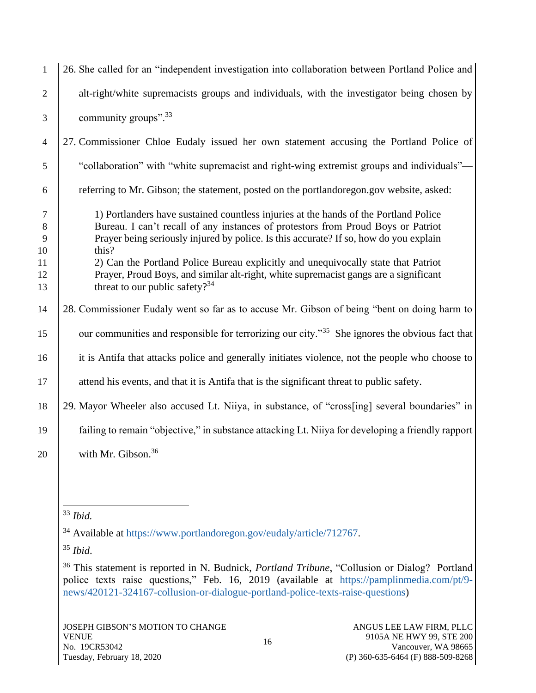| $\mathbf{1}$         | 26. She called for an "independent investigation into collaboration between Portland Police and                                                                                                                                                                            |
|----------------------|----------------------------------------------------------------------------------------------------------------------------------------------------------------------------------------------------------------------------------------------------------------------------|
| $\overline{2}$       | alt-right/white supremacists groups and individuals, with the investigator being chosen by                                                                                                                                                                                 |
| 3                    | community groups". <sup>33</sup>                                                                                                                                                                                                                                           |
| $\overline{4}$       | 27. Commissioner Chloe Eudaly issued her own statement accusing the Portland Police of                                                                                                                                                                                     |
| 5                    | "collaboration" with "white supremacist and right-wing extremist groups and individuals"-                                                                                                                                                                                  |
| 6                    | referring to Mr. Gibson; the statement, posted on the portlandoregon.gov website, asked:                                                                                                                                                                                   |
| $\tau$<br>8<br>9     | 1) Portlanders have sustained countless injuries at the hands of the Portland Police<br>Bureau. I can't recall of any instances of protestors from Proud Boys or Patriot<br>Prayer being seriously injured by police. Is this accurate? If so, how do you explain<br>this? |
| 10<br>11<br>12<br>13 | 2) Can the Portland Police Bureau explicitly and unequivocally state that Patriot<br>Prayer, Proud Boys, and similar alt-right, white supremacist gangs are a significant<br>threat to our public safety? $34$                                                             |
| 14                   | 28. Commissioner Eudaly went so far as to accuse Mr. Gibson of being "bent on doing harm to                                                                                                                                                                                |
| 15                   | our communities and responsible for terrorizing our city." <sup>35</sup> She ignores the obvious fact that                                                                                                                                                                 |
| 16                   | it is Antifa that attacks police and generally initiates violence, not the people who choose to                                                                                                                                                                            |
| 17                   | attend his events, and that it is Antifa that is the significant threat to public safety.                                                                                                                                                                                  |
| 18                   | 29. Mayor Wheeler also accused Lt. Niiya, in substance, of "cross[ing] several boundaries" in                                                                                                                                                                              |
| 19                   | failing to remain "objective," in substance attacking Lt. Niiya for developing a friendly rapport                                                                                                                                                                          |
| 20                   | with Mr. Gibson. <sup>36</sup>                                                                                                                                                                                                                                             |
|                      |                                                                                                                                                                                                                                                                            |

<sup>33</sup> *Ibid.*

<sup>34</sup> Available at [https://www.portlandoregon.gov/eudaly/article/712767.](https://www.portlandoregon.gov/eudaly/article/712767)

<sup>35</sup> *Ibid*.

<sup>36</sup> This statement is reported in N. Budnick, *Portland Tribune*, "Collusion or Dialog? Portland police texts raise questions," Feb. 16, 2019 (available at [https://pamplinmedia.com/pt/9](https://pamplinmedia.com/pt/9-news/420121-324167-collusion-or-dialogue-portland-police-texts-raise-questions) [news/420121-324167-collusion-or-dialogue-portland-police-texts-raise-questions\)](https://pamplinmedia.com/pt/9-news/420121-324167-collusion-or-dialogue-portland-police-texts-raise-questions)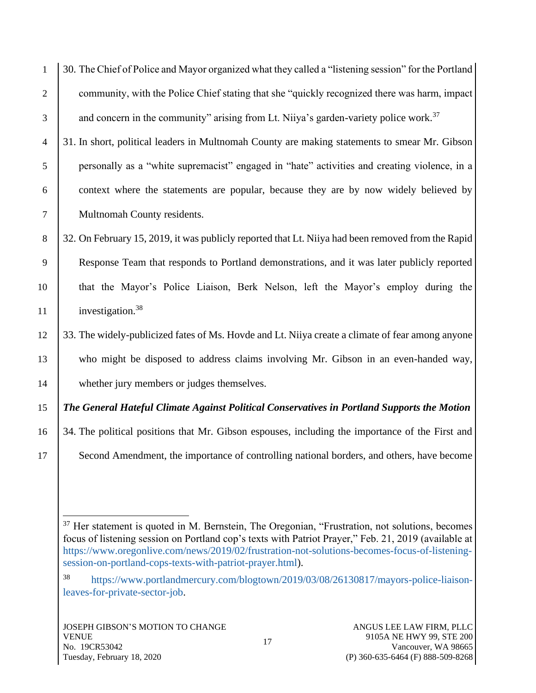1 30. The Chief of Police and Mayor organized what they called a "listening session" for the Portland 2 community, with the Police Chief stating that she "quickly recognized there was harm, impact  $\beta$  and concern in the community" arising from Lt. Niiya's garden-variety police work.<sup>37</sup>

 31. In short, political leaders in Multnomah County are making statements to smear Mr. Gibson personally as a "white supremacist" engaged in "hate" activities and creating violence, in a context where the statements are popular, because they are by now widely believed by Multnomah County residents.

8 32. On February 15, 2019, it was publicly reported that Lt. Niiya had been removed from the Rapid 9 Response Team that responds to Portland demonstrations, and it was later publicly reported 10 that the Mayor's Police Liaison, Berk Nelson, left the Mayor's employ during the 11 investigation.<sup>38</sup>

12 33. The widely-publicized fates of Ms. Hovde and Lt. Niiya create a climate of fear among anyone 13 who might be disposed to address claims involving Mr. Gibson in an even-handed way, 14 whether jury members or judges themselves.

15 *The General Hateful Climate Against Political Conservatives in Portland Supports the Motion*

- 16 34. The political positions that Mr. Gibson espouses, including the importance of the First and
- 17 Second Amendment, the importance of controlling national borders, and others, have become

 $37$  Her statement is quoted in M. Bernstein, The Oregonian, "Frustration, not solutions, becomes focus of listening session on Portland cop's texts with Patriot Prayer," Feb. 21, 2019 (available at [https://www.oregonlive.com/news/2019/02/frustration-not-solutions-becomes-focus-of-listening](https://www.oregonlive.com/news/2019/02/frustration-not-solutions-becomes-focus-of-listening-session-on-portland-cops-texts-with-patriot-prayer.html)[session-on-portland-cops-texts-with-patriot-prayer.html\)](https://www.oregonlive.com/news/2019/02/frustration-not-solutions-becomes-focus-of-listening-session-on-portland-cops-texts-with-patriot-prayer.html).

<sup>38</sup> [https://www.portlandmercury.com/blogtown/2019/03/08/26130817/mayors-police-liaison](https://www.portlandmercury.com/blogtown/2019/03/08/26130817/mayors-police-liaison-leaves-for-private-sector-job)[leaves-for-private-sector-job.](https://www.portlandmercury.com/blogtown/2019/03/08/26130817/mayors-police-liaison-leaves-for-private-sector-job)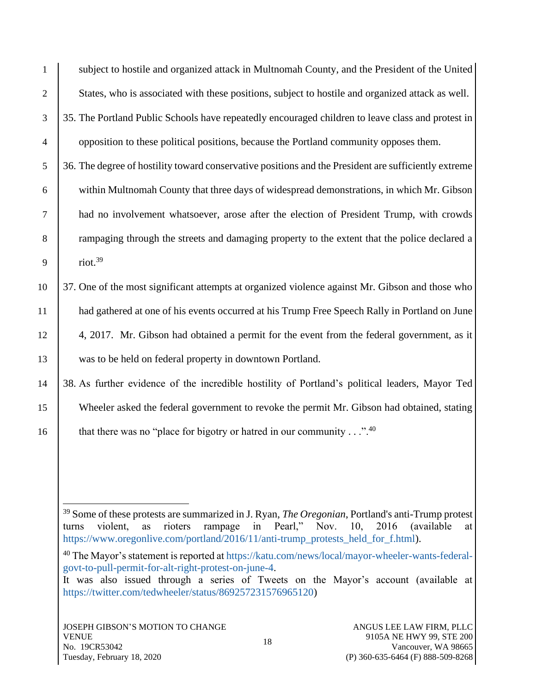| $\mathbf{1}$   | subject to hostile and organized attack in Multnomah County, and the President of the United         |
|----------------|------------------------------------------------------------------------------------------------------|
| $\overline{2}$ | States, who is associated with these positions, subject to hostile and organized attack as well.     |
| 3              | 35. The Portland Public Schools have repeatedly encouraged children to leave class and protest in    |
| $\overline{4}$ | opposition to these political positions, because the Portland community opposes them.                |
| 5              | 36. The degree of hostility toward conservative positions and the President are sufficiently extreme |
| 6              | within Multnomah County that three days of widespread demonstrations, in which Mr. Gibson            |
| $\overline{7}$ | had no involvement whatsoever, arose after the election of President Trump, with crowds              |
| 8              | rampaging through the streets and damaging property to the extent that the police declared a         |
| 9              | riot. $39$                                                                                           |
| 10             | 37. One of the most significant attempts at organized violence against Mr. Gibson and those who      |
| 11             | had gathered at one of his events occurred at his Trump Free Speech Rally in Portland on June        |
| 12             | 4, 2017. Mr. Gibson had obtained a permit for the event from the federal government, as it           |
| 13             | was to be held on federal property in downtown Portland.                                             |
| 14             | 38. As further evidence of the incredible hostility of Portland's political leaders, Mayor Ted       |
| 15             | Wheeler asked the federal government to revoke the permit Mr. Gibson had obtained, stating           |
|                |                                                                                                      |

16 that there was no "place for bigotry or hatred in our community  $\dots$ ".<sup>40</sup>

<sup>40</sup> The Mayor's statement is reported a[t https://katu.com/news/local/mayor-wheeler-wants-federal](https://katu.com/news/local/mayor-wheeler-wants-federal-govt-to-pull-permit-for-alt-right-protest-on-june-4)[govt-to-pull-permit-for-alt-right-protest-on-june-4.](https://katu.com/news/local/mayor-wheeler-wants-federal-govt-to-pull-permit-for-alt-right-protest-on-june-4)

<sup>39</sup> Some of these protests are summarized in J. Ryan, *The Oregonian*, Portland's anti-Trump protest turns violent, as rioters rampage in Pearl," Nov. 10, 2016 (available at [https://www.oregonlive.com/portland/2016/11/anti-trump\\_protests\\_held\\_for\\_f.html\)](https://www.oregonlive.com/portland/2016/11/anti-trump_protests_held_for_f.html).

It was also issued through a series of Tweets on the Mayor's account (available at [https://twitter.com/tedwheeler/status/869257231576965120\)](https://twitter.com/tedwheeler/status/869257231576965120)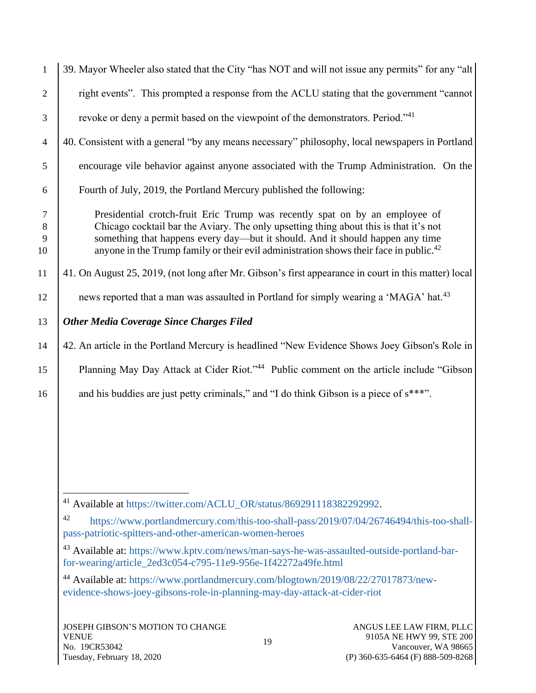| $\mathbf{1}$           | 39. Mayor Wheeler also stated that the City "has NOT and will not issue any permits" for any "alt                                                                                                                                                                                                                                                          |  |  |
|------------------------|------------------------------------------------------------------------------------------------------------------------------------------------------------------------------------------------------------------------------------------------------------------------------------------------------------------------------------------------------------|--|--|
| $\overline{2}$         | right events". This prompted a response from the ACLU stating that the government "cannot"                                                                                                                                                                                                                                                                 |  |  |
| 3                      | revoke or deny a permit based on the viewpoint of the demonstrators. Period."41                                                                                                                                                                                                                                                                            |  |  |
| $\overline{4}$         | 40. Consistent with a general "by any means necessary" philosophy, local newspapers in Portland                                                                                                                                                                                                                                                            |  |  |
| 5                      | encourage vile behavior against anyone associated with the Trump Administration. On the                                                                                                                                                                                                                                                                    |  |  |
| 6                      | Fourth of July, 2019, the Portland Mercury published the following:                                                                                                                                                                                                                                                                                        |  |  |
| $\tau$<br>8<br>9<br>10 | Presidential crotch-fruit Eric Trump was recently spat on by an employee of<br>Chicago cocktail bar the Aviary. The only upsetting thing about this is that it's not<br>something that happens every day—but it should. And it should happen any time<br>anyone in the Trump family or their evil administration shows their face in public. <sup>42</sup> |  |  |
| 11                     | 41. On August 25, 2019, (not long after Mr. Gibson's first appearance in court in this matter) local                                                                                                                                                                                                                                                       |  |  |
| 12                     | news reported that a man was assaulted in Portland for simply wearing a 'MAGA' hat. <sup>43</sup>                                                                                                                                                                                                                                                          |  |  |
| 13                     | <b>Other Media Coverage Since Charges Filed</b>                                                                                                                                                                                                                                                                                                            |  |  |
| 14                     | 42. An article in the Portland Mercury is headlined "New Evidence Shows Joey Gibson's Role in                                                                                                                                                                                                                                                              |  |  |
| 15                     | Planning May Day Attack at Cider Riot." <sup>44</sup> Public comment on the article include "Gibson                                                                                                                                                                                                                                                        |  |  |
| 16                     | and his buddies are just petty criminals," and "I do think Gibson is a piece of s***".                                                                                                                                                                                                                                                                     |  |  |
|                        |                                                                                                                                                                                                                                                                                                                                                            |  |  |
|                        | <sup>41</sup> Available at https://twitter.com/ACLU_OR/status/869291118382292992.                                                                                                                                                                                                                                                                          |  |  |
|                        | 42<br>https://www.portlandmercury.com/this-too-shall-pass/2019/07/04/26746494/this-too-shall-<br>pass-patriotic-spitters-and-other-american-women-heroes                                                                                                                                                                                                   |  |  |
|                        | <sup>43</sup> Available at: https://www.kptv.com/news/man-says-he-was-assaulted-outside-portland-bar-<br>for-wearing/article_2ed3c054-c795-11e9-956e-1f42272a49fe.html                                                                                                                                                                                     |  |  |
|                        | <sup>44</sup> Available at: https://www.portlandmercury.com/blogtown/2019/08/22/27017873/new-<br>evidence-shows-joey-gibsons-role-in-planning-may-day-attack-at-cider-riot                                                                                                                                                                                 |  |  |
|                        | <b>JOSEPH GIBSON'S MOTION TO CHANGE</b><br>ANGUS LEE LAW FIRM, PLLC<br>9105A NE HWY 99, STE 200<br><b>VENUE</b><br>19<br>Vancouver, WA 98665<br>No. 19CR53042                                                                                                                                                                                              |  |  |

(P) 360-635-6464 (F) 888-509-8268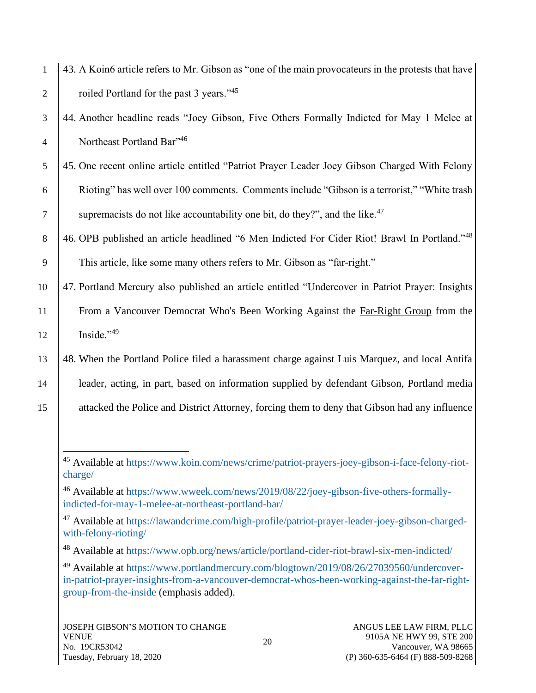| $\mathbf{1}$   | 43. A Koin6 article refers to Mr. Gibson as "one of the main provocateurs in the protests that have                                                       |
|----------------|-----------------------------------------------------------------------------------------------------------------------------------------------------------|
| $\overline{2}$ | roiled Portland for the past 3 years." <sup>45</sup>                                                                                                      |
| 3              | 44. Another headline reads "Joey Gibson, Five Others Formally Indicted for May 1 Melee at                                                                 |
| $\overline{4}$ | Northeast Portland Bar"46                                                                                                                                 |
| 5              | 45. One recent online article entitled "Patriot Prayer Leader Joey Gibson Charged With Felony                                                             |
| 6              | Rioting" has well over 100 comments. Comments include "Gibson is a terrorist," "White trash                                                               |
| $\overline{7}$ | supremacists do not like accountability one bit, do they?", and the like. <sup>47</sup>                                                                   |
| 8              | 46. OPB published an article headlined "6 Men Indicted For Cider Riot! Brawl In Portland."48                                                              |
| 9              | This article, like some many others refers to Mr. Gibson as "far-right."                                                                                  |
| 10             | 47. Portland Mercury also published an article entitled "Undercover in Patriot Prayer: Insights                                                           |
| 11             | From a Vancouver Democrat Who's Been Working Against the Far-Right Group from the                                                                         |
| 12             | Inside."49                                                                                                                                                |
| 13             | 48. When the Portland Police filed a harassment charge against Luis Marquez, and local Antifa                                                             |
| 14             | leader, acting, in part, based on information supplied by defendant Gibson, Portland media                                                                |
| 15             | attacked the Police and District Attorney, forcing them to deny that Gibson had any influence                                                             |
|                |                                                                                                                                                           |
|                | <sup>45</sup> Available at https://www.koin.com/news/crime/patriot-prayers-joey-gibson-i-face-felony-riot-<br>charge/                                     |
|                | <sup>46</sup> Available at https://www.wweek.com/news/2019/08/22/joey-gibson-five-others-formally-<br>indicted-for-may-1-melee-at-northeast-portland-bar/ |
|                | <sup>47</sup> Available at https://lawandcrime.com/high-profile/patriot-prayer-leader-joey-gibson-charged-<br>with-felony-rioting/                        |
|                | Available at https://www.opb.org/news/article/portland-cider-riot-brawl-six-men-indicted/<br>48                                                           |

<sup>49</sup> Available at [https://www.portlandmercury.com/blogtown/2019/08/26/27039560/undercover](https://www.portlandmercury.com/blogtown/2019/08/26/27039560/undercover-in-patriot-prayer-insights-from-a-vancouver-democrat-whos-been-working-against-the-far-right-group-from-the-inside)[in-patriot-prayer-insights-from-a-vancouver-democrat-whos-been-working-against-the-far-right](https://www.portlandmercury.com/blogtown/2019/08/26/27039560/undercover-in-patriot-prayer-insights-from-a-vancouver-democrat-whos-been-working-against-the-far-right-group-from-the-inside)[group-from-the-inside](https://www.portlandmercury.com/blogtown/2019/08/26/27039560/undercover-in-patriot-prayer-insights-from-a-vancouver-democrat-whos-been-working-against-the-far-right-group-from-the-inside) (emphasis added).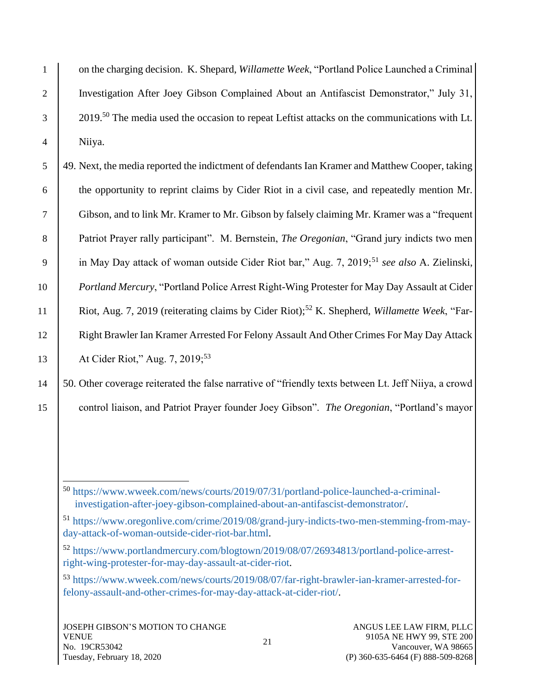1 on the charging decision. K. Shepard, *Willamette Week*, "Portland Police Launched a Criminal 2 Investigation After Joey Gibson Complained About an Antifascist Demonstrator," July 31,  $2019<sup>50</sup>$  The media used the occasion to repeat Leftist attacks on the communications with Lt. 4 Niiya.

5 49. Next, the media reported the indictment of defendants Ian Kramer and Matthew Cooper, taking 6 the opportunity to reprint claims by Cider Riot in a civil case, and repeatedly mention Mr. 7 Gibson, and to link Mr. Kramer to Mr. Gibson by falsely claiming Mr. Kramer was a "frequent 8 Patriot Prayer rally participant". M. Bernstein, *The Oregonian*, "Grand jury indicts two men 9 in May Day attack of woman outside Cider Riot bar," Aug. 7, 2019;<sup>51</sup> see also A. Zielinski, 10 *Portland Mercury*, "Portland Police Arrest Right-Wing Protester for May Day Assault at Cider Riot, Aug. 7, 2019 (reiterating claims by Cider Riot);<sup>52</sup> K. Shepherd, *Willamette Week*, "Far-12 | Right Brawler Ian Kramer Arrested For Felony Assault And Other Crimes For May Day Attack 13 | At Cider Riot," Aug. 7, 2019;<sup>53</sup>

14 50. Other coverage reiterated the false narrative of "friendly texts between Lt. Jeff Niiya, a crowd 15 control liaison, and Patriot Prayer founder Joey Gibson". *The Oregonian*, "Portland's mayor

<sup>50</sup> [https://www.wweek.com/news/courts/2019/07/31/portland-police-launched-a-criminal](https://www.wweek.com/news/courts/2019/07/31/portland-police-launched-a-criminal-investigation-after-joey-gibson-complained-about-an-antifascist-demonstrator/)[investigation-after-joey-gibson-complained-about-an-antifascist-demonstrator/.](https://www.wweek.com/news/courts/2019/07/31/portland-police-launched-a-criminal-investigation-after-joey-gibson-complained-about-an-antifascist-demonstrator/)

<sup>51</sup> [https://www.oregonlive.com/crime/2019/08/grand-jury-indicts-two-men-stemming-from-may](https://www.oregonlive.com/crime/2019/08/grand-jury-indicts-two-men-stemming-from-may-day-attack-of-woman-outside-cider-riot-bar.html)[day-attack-of-woman-outside-cider-riot-bar.html.](https://www.oregonlive.com/crime/2019/08/grand-jury-indicts-two-men-stemming-from-may-day-attack-of-woman-outside-cider-riot-bar.html)

<sup>52</sup> [https://www.portlandmercury.com/blogtown/2019/08/07/26934813/portland-police-arrest](https://www.portlandmercury.com/blogtown/2019/08/07/26934813/portland-police-arrest-right-wing-protester-for-may-day-assault-at-cider-riot)[right-wing-protester-for-may-day-assault-at-cider-riot.](https://www.portlandmercury.com/blogtown/2019/08/07/26934813/portland-police-arrest-right-wing-protester-for-may-day-assault-at-cider-riot)

<sup>53</sup> [https://www.wweek.com/news/courts/2019/08/07/far-right-brawler-ian-kramer-arrested-for](https://www.wweek.com/news/courts/2019/08/07/far-right-brawler-ian-kramer-arrested-for-felony-assault-and-other-crimes-for-may-day-attack-at-cider-riot/)[felony-assault-and-other-crimes-for-may-day-attack-at-cider-riot/.](https://www.wweek.com/news/courts/2019/08/07/far-right-brawler-ian-kramer-arrested-for-felony-assault-and-other-crimes-for-may-day-attack-at-cider-riot/)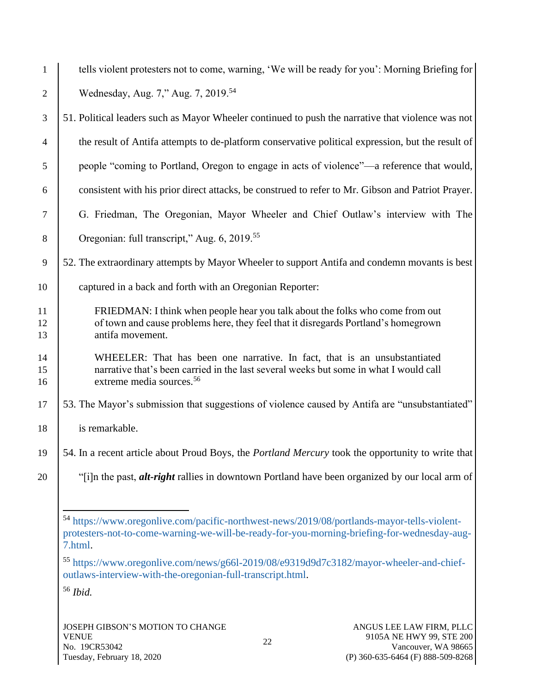| $\mathbf{1}$   | tells violent protesters not to come, warning, 'We will be ready for you': Morning Briefing for                                                                                                            |
|----------------|------------------------------------------------------------------------------------------------------------------------------------------------------------------------------------------------------------|
| 2              | Wednesday, Aug. 7," Aug. 7, 2019. <sup>54</sup>                                                                                                                                                            |
| 3              | 51. Political leaders such as Mayor Wheeler continued to push the narrative that violence was not                                                                                                          |
| 4              | the result of Antifa attempts to de-platform conservative political expression, but the result of                                                                                                          |
| 5              | people "coming to Portland, Oregon to engage in acts of violence"—a reference that would,                                                                                                                  |
| 6              | consistent with his prior direct attacks, be construed to refer to Mr. Gibson and Patriot Prayer.                                                                                                          |
| $\tau$         | G. Friedman, The Oregonian, Mayor Wheeler and Chief Outlaw's interview with The                                                                                                                            |
| 8              | Oregonian: full transcript," Aug. 6, 2019. <sup>55</sup>                                                                                                                                                   |
| 9              | 52. The extraordinary attempts by Mayor Wheeler to support Antifa and condemn movants is best                                                                                                              |
| 10             | captured in a back and forth with an Oregonian Reporter:                                                                                                                                                   |
| 11<br>12<br>13 | FRIEDMAN: I think when people hear you talk about the folks who come from out<br>of town and cause problems here, they feel that it disregards Portland's homegrown<br>antifa movement.                    |
| 14<br>15<br>16 | WHEELER: That has been one narrative. In fact, that is an unsubstantiated<br>narrative that's been carried in the last several weeks but some in what I would call<br>extreme media sources. <sup>56</sup> |
| 17             | 53. The Mayor's submission that suggestions of violence caused by Antifa are "unsubstantiated"                                                                                                             |
| 18             | is remarkable.                                                                                                                                                                                             |
| 19             | 54. In a recent article about Proud Boys, the <i>Portland Mercury</i> took the opportunity to write that                                                                                                   |
| 20             | "[i]n the past, <i>alt-right</i> rallies in downtown Portland have been organized by our local arm of                                                                                                      |
|                | 54 https://www.oregonlive.com/pacific-northwest-news/2019/08/portlands-mayor-tells-violent-<br>protesters-not-to-come-warning-we-will-be-ready-for-you-morning-briefing-for-wednesday-aug-<br>7.html.      |
|                | $0.210 - 10 - 710$                                                                                                                                                                                         |

<sup>55</sup> [https://www.oregonlive.com/news/g66l-2019/08/e9319d9d7c3182/mayor-wheeler-and-chief](https://www.oregonlive.com/news/g66l-2019/08/e9319d9d7c3182/mayor-wheeler-and-chief-outlaws-interview-with-the-oregonian-full-transcript.html)[outlaws-interview-with-the-oregonian-full-transcript.html.](https://www.oregonlive.com/news/g66l-2019/08/e9319d9d7c3182/mayor-wheeler-and-chief-outlaws-interview-with-the-oregonian-full-transcript.html)

<sup>56</sup> *Ibid.*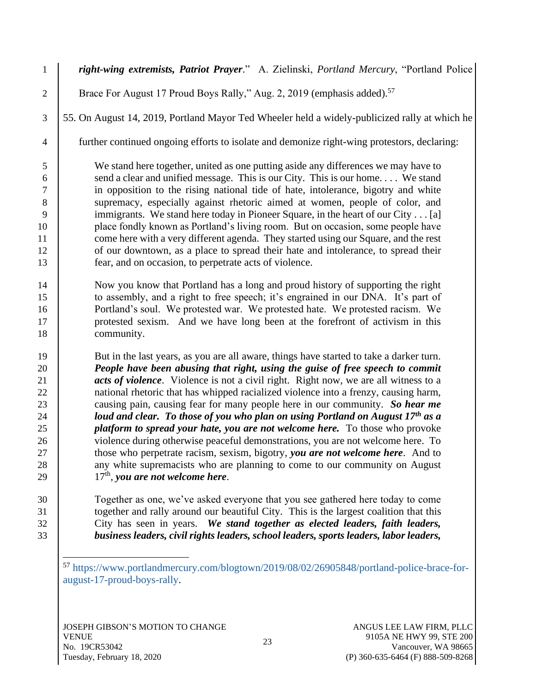*right-wing extremists, Patriot Prayer*." A. Zielinski, *Portland Mercury*, "Portland Police 2 | Brace For August 17 Proud Boys Rally," Aug. 2, 2019 (emphasis added).<sup>57</sup> 55. On August 14, 2019, Portland Mayor Ted Wheeler held a widely-publicized rally at which he further continued ongoing efforts to isolate and demonize right-wing protestors, declaring: We stand here together, united as one putting aside any differences we may have to 6 send a clear and unified message. This is our City. This is our home.... We stand in opposition to the rising national tide of hate, intolerance, bigotry and white 8 supremacy, especially against rhetoric aimed at women, people of color, and 9 immigrants. We stand here today in Pioneer Square, in the heart of our City . . . [a] place fondly known as Portland's living room. But on occasion, some people have 11 come here with a very different agenda. They started using our Square, and the rest 12 of our downtown, as a place to spread their hate and intolerance, to spread their fear, and on occasion, to perpetrate acts of violence. Now you know that Portland has a long and proud history of supporting the right to assembly, and a right to free speech; it's engrained in our DNA. It's part of **Portland's soul.** We protested war. We protested hate. We protested racism. We protested sexism. And we have long been at the forefront of activism in this 18 community. But in the last years, as you are all aware, things have started to take a darker turn. *People have been abusing that right, using the guise of free speech to commit acts of violence*. Violence is not a civil right. Right now, we are all witness to a 22 | national rhetoric that has whipped racialized violence into a frenzy, causing harm, causing pain, causing fear for many people here in our community. *So hear me loud and clear. To those of you who plan on using Portland on August 17<sup>th</sup> as a platform to spread your hate, you are not welcome here.* To those who provoke 26 violence during otherwise peaceful demonstrations, you are not welcome here. To those who perpetrate racism, sexism, bigotry, *you are not welcome here*. And to 28 any white supremacists who are planning to come to our community on August  $17<sup>th</sup>$ , you are not welcome here. Together as one, we've asked everyone that you see gathered here today to come

31 together and rally around our beautiful City. This is the largest coalition that this 32 City has seen in years. *We stand together as elected leaders, faith leaders,*  33 *business leaders, civil rights leaders, school leaders, sports leaders, labor leaders,* 

<sup>57</sup> [https://www.portlandmercury.com/blogtown/2019/08/02/26905848/portland-police-brace-for](https://www.portlandmercury.com/blogtown/2019/08/02/26905848/portland-police-brace-for-august-17-proud-boys-rally)[august-17-proud-boys-rally.](https://www.portlandmercury.com/blogtown/2019/08/02/26905848/portland-police-brace-for-august-17-proud-boys-rally)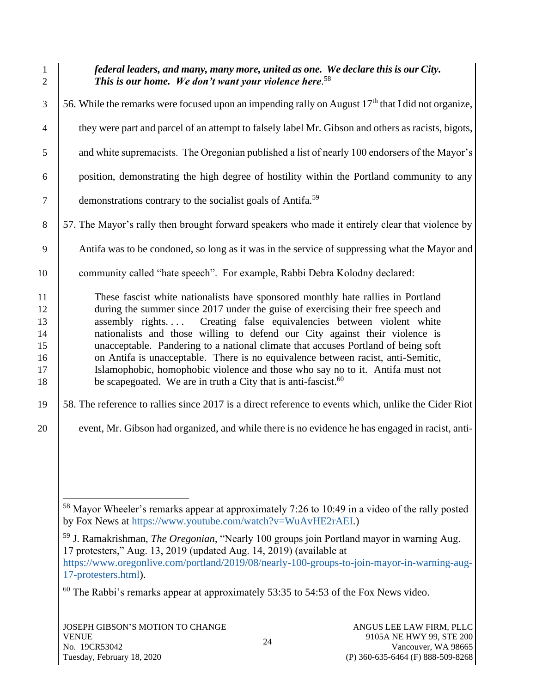1 *federal leaders, and many, many more, united as one. We declare this is our City. This is our home. We don't want your violence here*. <sup>58</sup> 2  $\frac{3}{56}$ . While the remarks were focused upon an impending rally on August 17<sup>th</sup> that I did not organize, <sup>4</sup> they were part and parcel of an attempt to falsely label Mr. Gibson and others as racists, bigots, 5 and white supremacists. The Oregonian published a list of nearly 100 endorsers of the Mayor's 6 position, demonstrating the high degree of hostility within the Portland community to any  $\frac{1}{7}$  demonstrations contrary to the socialist goals of Antifa.<sup>59</sup> 8 | 57. The Mayor's rally then brought forward speakers who made it entirely clear that violence by 9 Antifa was to be condoned, so long as it was in the service of suppressing what the Mayor and 10 community called "hate speech". For example, Rabbi Debra Kolodny declared: 11 These fascist white nationalists have sponsored monthly hate rallies in Portland 12 during the summer since 2017 under the guise of exercising their free speech and 13 assembly rights.... Creating false equivalencies between violent white 14 nationalists and those willing to defend our City against their violence is 15 unacceptable. Pandering to a national climate that accuses Portland of being soft 16 on Antifa is unacceptable. There is no equivalence between racist, anti-Semitic, 17 Islamophobic, homophobic violence and those who say no to it. Antifa must not 18 be scapegoated. We are in truth a City that is anti-fascist.<sup>60</sup> 19 58. The reference to rallies since 2017 is a direct reference to events which, unlike the Cider Riot 20 event, Mr. Gibson had organized, and while there is no evidence he has engaged in racist, anti-

<sup>&</sup>lt;sup>58</sup> Mayor Wheeler's remarks appear at approximately 7:26 to 10:49 in a video of the rally posted by Fox News at [https://www.youtube.com/watch?v=WuAvHE2rAEI.](https://www.youtube.com/watch?v=WuAvHE2rAEI))

<sup>59</sup> J. Ramakrishman, *The Oregonian*, "Nearly 100 groups join Portland mayor in warning Aug. 17 protesters," Aug. 13, 2019 (updated Aug. 14, 2019) (available at [https://www.oregonlive.com/portland/2019/08/nearly-100-groups-to-join-mayor-in-warning-aug-](https://www.oregonlive.com/portland/2019/08/nearly-100-groups-to-join-mayor-in-warning-aug-17-protesters.html)[17-protesters.html\)](https://www.oregonlive.com/portland/2019/08/nearly-100-groups-to-join-mayor-in-warning-aug-17-protesters.html).

 $60$  The Rabbi's remarks appear at approximately 53:35 to 54:53 of the Fox News video.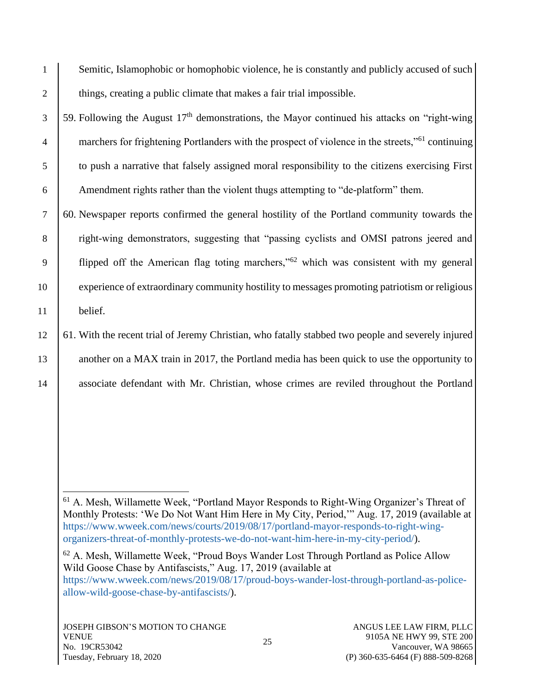1 Semitic, Islamophobic or homophobic violence, he is constantly and publicly accused of such 2 | things, creating a public climate that makes a fair trial impossible.

 $\frac{3}{59}$ . Following the August 17<sup>th</sup> demonstrations, the Mayor continued his attacks on "right-wing" 4 marchers for frightening Portlanders with the prospect of violence in the streets,"<sup>61</sup> continuing 5 to push a narrative that falsely assigned moral responsibility to the citizens exercising First 6 Amendment rights rather than the violent thugs attempting to "de-platform" them.

7 60. Newspaper reports confirmed the general hostility of the Portland community towards the 8 Tight-wing demonstrators, suggesting that "passing cyclists and OMSI patrons jeered and 9 flipped off the American flag toting marchers," $62$  which was consistent with my general 10 experience of extraordinary community hostility to messages promoting patriotism or religious 11 belief.

12 61. With the recent trial of Jeremy Christian, who fatally stabbed two people and severely injured 13 another on a MAX train in 2017, the Portland media has been quick to use the opportunity to 14 associate defendant with Mr. Christian, whose crimes are reviled throughout the Portland

<sup>61</sup> A. Mesh, Willamette Week, "Portland Mayor Responds to Right-Wing Organizer's Threat of Monthly Protests: 'We Do Not Want Him Here in My City, Period,'" Aug. 17, 2019 (available at [https://www.wweek.com/news/courts/2019/08/17/portland-mayor-responds-to-right-wing](https://www.wweek.com/news/courts/2019/08/17/portland-mayor-responds-to-right-wing-organizers-threat-of-monthly-protests-we-do-not-want-him-here-in-my-city-period/)[organizers-threat-of-monthly-protests-we-do-not-want-him-here-in-my-city-period/\)](https://www.wweek.com/news/courts/2019/08/17/portland-mayor-responds-to-right-wing-organizers-threat-of-monthly-protests-we-do-not-want-him-here-in-my-city-period/).

<sup>62</sup> A. Mesh, Willamette Week, "Proud Boys Wander Lost Through Portland as Police Allow Wild Goose Chase by Antifascists," Aug. 17, 2019 (available at [https://www.wweek.com/news/2019/08/17/proud-boys-wander-lost-through-portland-as-police](https://www.wweek.com/news/2019/08/17/proud-boys-wander-lost-through-portland-as-police-allow-wild-goose-chase-by-antifascists/)[allow-wild-goose-chase-by-antifascists/\)](https://www.wweek.com/news/2019/08/17/proud-boys-wander-lost-through-portland-as-police-allow-wild-goose-chase-by-antifascists/).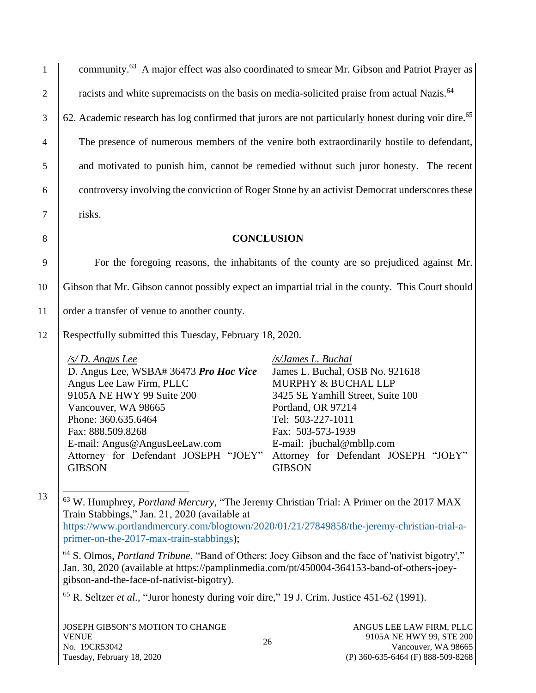| $\mathbf{1}$   | community. <sup>63</sup> A major effect was also coordinated to smear Mr. Gibson and Patriot Prayer as                                                                                                                                                                                                               |                                                                                                                                                                                                                                 |  |
|----------------|----------------------------------------------------------------------------------------------------------------------------------------------------------------------------------------------------------------------------------------------------------------------------------------------------------------------|---------------------------------------------------------------------------------------------------------------------------------------------------------------------------------------------------------------------------------|--|
| $\overline{2}$ | racists and white supremacists on the basis on media-solicited praise from actual Nazis. <sup>64</sup>                                                                                                                                                                                                               |                                                                                                                                                                                                                                 |  |
| 3              | 62. Academic research has log confirmed that jurors are not particularly honest during voir dire. <sup>65</sup>                                                                                                                                                                                                      |                                                                                                                                                                                                                                 |  |
| $\overline{4}$ | The presence of numerous members of the venire both extraordinarily hostile to defendant,                                                                                                                                                                                                                            |                                                                                                                                                                                                                                 |  |
| 5              | and motivated to punish him, cannot be remedied without such juror honesty. The recent                                                                                                                                                                                                                               |                                                                                                                                                                                                                                 |  |
| 6              | controversy involving the conviction of Roger Stone by an activist Democrat underscores these                                                                                                                                                                                                                        |                                                                                                                                                                                                                                 |  |
| $\tau$         | risks.                                                                                                                                                                                                                                                                                                               |                                                                                                                                                                                                                                 |  |
| 8              | <b>CONCLUSION</b>                                                                                                                                                                                                                                                                                                    |                                                                                                                                                                                                                                 |  |
| 9              |                                                                                                                                                                                                                                                                                                                      | For the foregoing reasons, the inhabitants of the county are so prejudiced against Mr.                                                                                                                                          |  |
| 10             | Gibson that Mr. Gibson cannot possibly expect an impartial trial in the county. This Court should                                                                                                                                                                                                                    |                                                                                                                                                                                                                                 |  |
|                |                                                                                                                                                                                                                                                                                                                      |                                                                                                                                                                                                                                 |  |
| 11             | order a transfer of venue to another county.                                                                                                                                                                                                                                                                         |                                                                                                                                                                                                                                 |  |
| 12             | Respectfully submitted this Tuesday, February 18, 2020.                                                                                                                                                                                                                                                              |                                                                                                                                                                                                                                 |  |
|                | /s/D. Angus Lee<br>D. Angus Lee, WSBA# 36473 Pro Hoc Vice<br>Angus Lee Law Firm, PLLC<br>9105A NE HWY 99 Suite 200<br>Vancouver, WA 98665<br>Phone: 360.635.6464<br>Fax: 888.509.8268<br>E-mail: Angus@AngusLeeLaw.com<br>Attorney for Defendant JOSEPH "JOEY" Attorney for Defendant JOSEPH "JOEY"<br><b>GIBSON</b> | /s/James L. Buchal<br>James L. Buchal, OSB No. 921618<br>MURPHY & BUCHAL LLP<br>3425 SE Yamhill Street, Suite 100<br>Portland, OR 97214<br>Tel: 503-227-1011<br>Fax: 503-573-1939<br>E-mail: jbuchal@mbllp.com<br><b>GIBSON</b> |  |
| 13             | <sup>63</sup> W. Humphrey, <i>Portland Mercury</i> , "The Jeremy Christian Trial: A Primer on the 2017 MAX<br>Train Stabbings," Jan. 21, 2020 (available at<br>https://www.portlandmercury.com/blogtown/2020/01/21/27849858/the-jeremy-christian-trial-a-<br>primer-on-the-2017-max-train-stabbings);                |                                                                                                                                                                                                                                 |  |
|                | <sup>64</sup> S. Olmos, <i>Portland Tribune</i> , "Band of Others: Joey Gibson and the face of 'nativist bigotry',"<br>Jan. 30, 2020 (available at https://pamplinmedia.com/pt/450004-364153-band-of-others-joey-<br>gibson-and-the-face-of-nativist-bigotry).                                                       |                                                                                                                                                                                                                                 |  |
|                | $65$ R. Seltzer <i>et al.</i> , "Juror honesty during voir dire," 19 J. Crim. Justice 451-62 (1991).                                                                                                                                                                                                                 |                                                                                                                                                                                                                                 |  |
|                | JOSEPH GIBSON'S MOTION TO CHANGE<br><b>VENUE</b><br>26<br>No. 19CR53042                                                                                                                                                                                                                                              | ANGUS LEE LAW FIRM, PLLC<br>9105A NE HWY 99, STE 200<br>Vancouver, WA 98665                                                                                                                                                     |  |

(P) 360-635-6464 (F) 888-509-8268